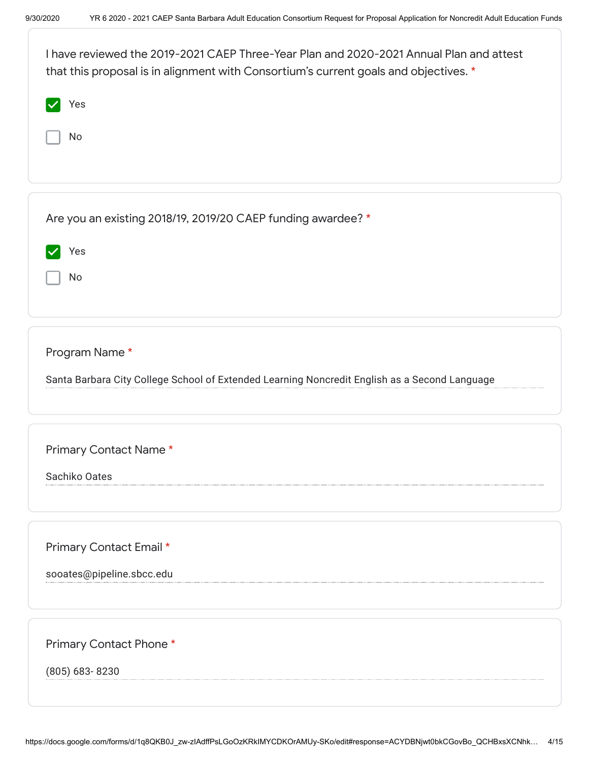| I have reviewed the 2019-2021 CAEP Three-Year Plan and 2020-2021 Annual Plan and attest<br>that this proposal is in alignment with Consortium's current goals and objectives. * |
|---------------------------------------------------------------------------------------------------------------------------------------------------------------------------------|
| Yes                                                                                                                                                                             |
| No                                                                                                                                                                              |
|                                                                                                                                                                                 |
| Are you an existing 2018/19, 2019/20 CAEP funding awardee? *                                                                                                                    |
| Yes                                                                                                                                                                             |
| No                                                                                                                                                                              |
|                                                                                                                                                                                 |
| Program Name*                                                                                                                                                                   |
| Santa Barbara City College School of Extended Learning Noncredit English as a Second Language                                                                                   |
|                                                                                                                                                                                 |
| Primary Contact Name*                                                                                                                                                           |
| Sachiko Oates                                                                                                                                                                   |
|                                                                                                                                                                                 |
| Primary Contact Email *                                                                                                                                                         |
| sooates@pipeline.sbcc.edu                                                                                                                                                       |
|                                                                                                                                                                                 |
| Primary Contact Phone*                                                                                                                                                          |
| (805) 683-8230                                                                                                                                                                  |
|                                                                                                                                                                                 |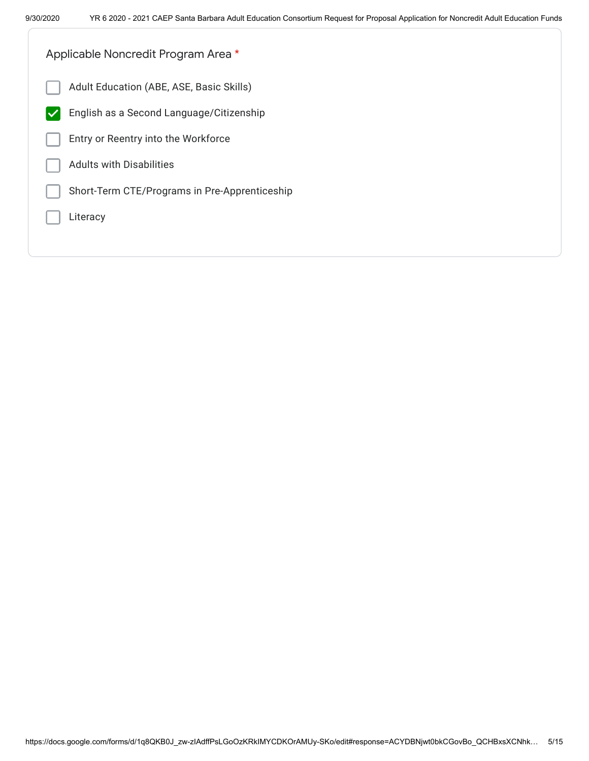| Applicable Noncredit Program Area *                      |
|----------------------------------------------------------|
| Adult Education (ABE, ASE, Basic Skills)                 |
| English as a Second Language/Citizenship<br>$\checkmark$ |
| Entry or Reentry into the Workforce                      |
| <b>Adults with Disabilities</b>                          |
| Short-Term CTE/Programs in Pre-Apprenticeship            |
| Literacy                                                 |
|                                                          |
|                                                          |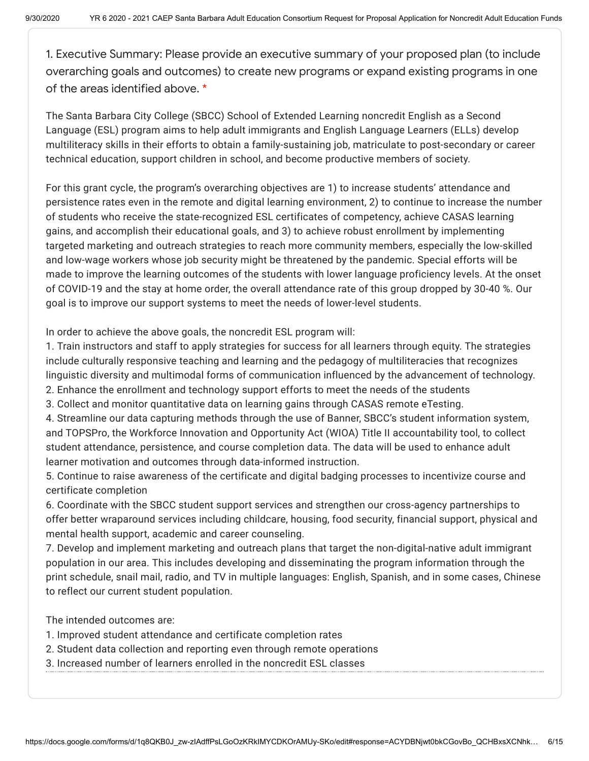1. Executive Summary: Please provide an executive summary of your proposed plan (to include overarching goals and outcomes) to create new programs or expand existing programs in one of the areas identified above. \*

The Santa Barbara City College (SBCC) School of Extended Learning noncredit English as a Second Language (ESL) program aims to help adult immigrants and English Language Learners (ELLs) develop multiliteracy skills in their efforts to obtain a family-sustaining job, matriculate to post-secondary or career technical education, support children in school, and become productive members of society.

For this grant cycle, the program's overarching objectives are 1) to increase students' attendance and persistence rates even in the remote and digital learning environment, 2) to continue to increase the number of students who receive the state-recognized ESL certificates of competency, achieve CASAS learning gains, and accomplish their educational goals, and 3) to achieve robust enrollment by implementing targeted marketing and outreach strategies to reach more community members, especially the low-skilled and low-wage workers whose job security might be threatened by the pandemic. Special efforts will be made to improve the learning outcomes of the students with lower language proficiency levels. At the onset of COVID-19 and the stay at home order, the overall attendance rate of this group dropped by 30-40 %. Our goal is to improve our support systems to meet the needs of lower-level students.

In order to achieve the above goals, the noncredit ESL program will:

1. Train instructors and staff to apply strategies for success for all learners through equity. The strategies include culturally responsive teaching and learning and the pedagogy of multiliteracies that recognizes linguistic diversity and multimodal forms of communication influenced by the advancement of technology.

- 2. Enhance the enrollment and technology support efforts to meet the needs of the students
- 3. Collect and monitor quantitative data on learning gains through CASAS remote eTesting.

4. Streamline our data capturing methods through the use of Banner, SBCC's student information system, and TOPSPro, the Workforce Innovation and Opportunity Act (WIOA) Title II accountability tool, to collect student attendance, persistence, and course completion data. The data will be used to enhance adult learner motivation and outcomes through data-informed instruction.

5. Continue to raise awareness of the certificate and digital badging processes to incentivize course and certificate completion

6. Coordinate with the SBCC student support services and strengthen our cross-agency partnerships to offer better wraparound services including childcare, housing, food security, financial support, physical and mental health support, academic and career counseling.

7. Develop and implement marketing and outreach plans that target the non-digital-native adult immigrant population in our area. This includes developing and disseminating the program information through the print schedule, snail mail, radio, and TV in multiple languages: English, Spanish, and in some cases, Chinese to reflect our current student population.

The intended outcomes are:

- 1. Improved student attendance and certificate completion rates
- 2. Student data collection and reporting even through remote operations
- 3. Increased number of learners enrolled in the noncredit ESL classes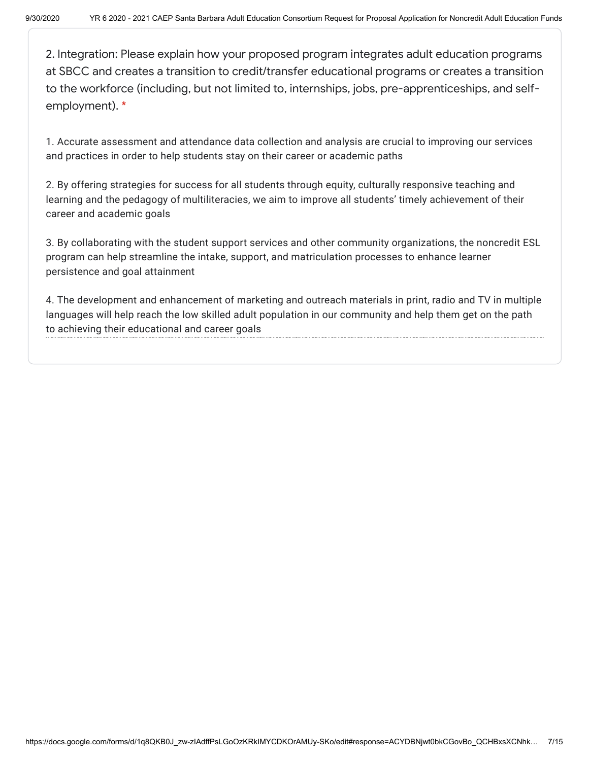2. Integration: Please explain how your proposed program integrates adult education programs at SBCC and creates a transition to credit/transfer educational programs or creates a transition to the workforce (including, but not limited to, internships, jobs, pre-apprenticeships, and selfemployment). \*

1. Accurate assessment and attendance data collection and analysis are crucial to improving our services and practices in order to help students stay on their career or academic paths

2. By offering strategies for success for all students through equity, culturally responsive teaching and learning and the pedagogy of multiliteracies, we aim to improve all students' timely achievement of their career and academic goals

3. By collaborating with the student support services and other community organizations, the noncredit ESL program can help streamline the intake, support, and matriculation processes to enhance learner persistence and goal attainment

4. The development and enhancement of marketing and outreach materials in print, radio and TV in multiple languages will help reach the low skilled adult population in our community and help them get on the path to achieving their educational and career goals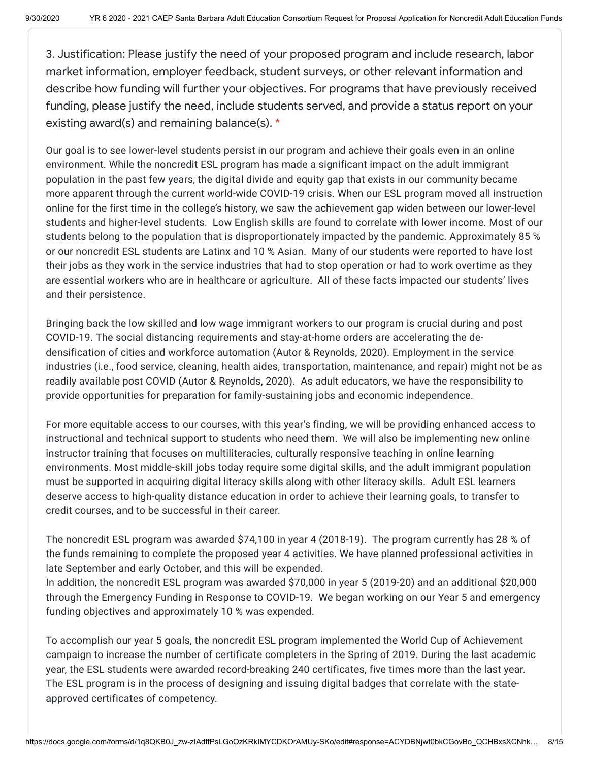3. Justification: Please justify the need of your proposed program and include research, labor market information, employer feedback, student surveys, or other relevant information and describe how funding will further your objectives. For programs that have previously received funding, please justify the need, include students served, and provide a status report on your existing award(s) and remaining balance(s). \*

Our goal is to see lower-level students persist in our program and achieve their goals even in an online environment. While the noncredit ESL program has made a significant impact on the adult immigrant population in the past few years, the digital divide and equity gap that exists in our community became more apparent through the current world-wide COVID-19 crisis. When our ESL program moved all instruction online for the first time in the college's history, we saw the achievement gap widen between our lower-level students and higher-level students. Low English skills are found to correlate with lower income. Most of our students belong to the population that is disproportionately impacted by the pandemic. Approximately 85 % or our noncredit ESL students are Latinx and 10 % Asian. Many of our students were reported to have lost their jobs as they work in the service industries that had to stop operation or had to work overtime as they are essential workers who are in healthcare or agriculture. All of these facts impacted our students' lives and their persistence.

Bringing back the low skilled and low wage immigrant workers to our program is crucial during and post COVID-19. The social distancing requirements and stay-at-home orders are accelerating the dedensification of cities and workforce automation (Autor & Reynolds, 2020). Employment in the service industries (i.e., food service, cleaning, health aides, transportation, maintenance, and repair) might not be as readily available post COVID (Autor & Reynolds, 2020). As adult educators, we have the responsibility to provide opportunities for preparation for family-sustaining jobs and economic independence.

For more equitable access to our courses, with this year's finding, we will be providing enhanced access to instructional and technical support to students who need them. We will also be implementing new online instructor training that focuses on multiliteracies, culturally responsive teaching in online learning environments. Most middle-skill jobs today require some digital skills, and the adult immigrant population must be supported in acquiring digital literacy skills along with other literacy skills. Adult ESL learners deserve access to high-quality distance education in order to achieve their learning goals, to transfer to credit courses, and to be successful in their career.

The noncredit ESL program was awarded \$74,100 in year 4 (2018-19). The program currently has 28 % of the funds remaining to complete the proposed year 4 activities. We have planned professional activities in late September and early October, and this will be expended.

In addition, the noncredit ESL program was awarded \$70,000 in year 5 (2019-20) and an additional \$20,000 through the Emergency Funding in Response to COVID-19. We began working on our Year 5 and emergency funding objectives and approximately 10 % was expended.

To accomplish our year 5 goals, the noncredit ESL program implemented the World Cup of Achievement campaign to increase the number of certificate completers in the Spring of 2019. During the last academic year, the ESL students were awarded record-breaking 240 certificates, five times more than the last year. The ESL program is in the process of designing and issuing digital badges that correlate with the stateapproved certificates of competency.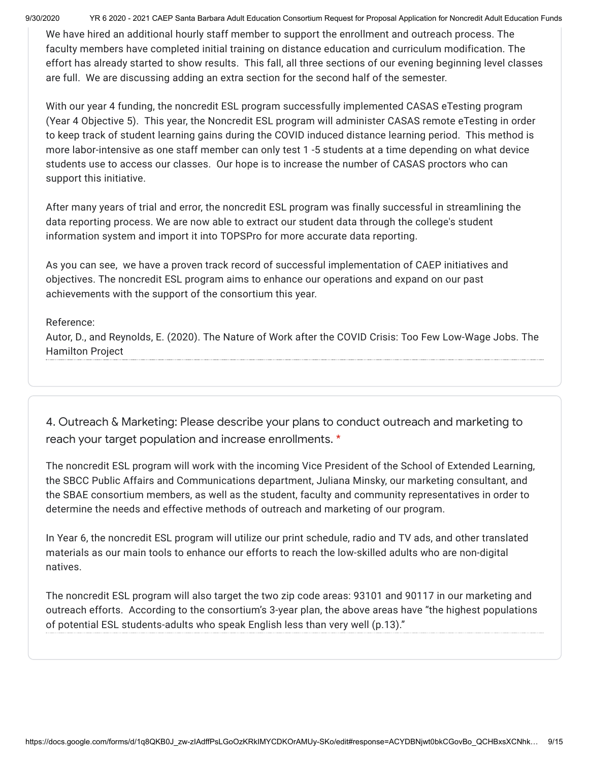9/30/2020 YR 6 2020 - 2021 CAEP Santa Barbara Adult Education Consortium Request for Proposal Application for Noncredit Adult Education Funds

We have hired an additional hourly staff member to support the enrollment and outreach process. The faculty members have completed initial training on distance education and curriculum modification. The effort has already started to show results. This fall, all three sections of our evening beginning level classes are full. We are discussing adding an extra section for the second half of the semester.

With our year 4 funding, the noncredit ESL program successfully implemented CASAS eTesting program (Year 4 Objective 5). This year, the Noncredit ESL program will administer CASAS remote eTesting in order to keep track of student learning gains during the COVID induced distance learning period. This method is more labor-intensive as one staff member can only test 1 -5 students at a time depending on what device students use to access our classes. Our hope is to increase the number of CASAS proctors who can support this initiative.

After many years of trial and error, the noncredit ESL program was finally successful in streamlining the data reporting process. We are now able to extract our student data through the college's student information system and import it into TOPSPro for more accurate data reporting.

As you can see, we have a proven track record of successful implementation of CAEP initiatives and objectives. The noncredit ESL program aims to enhance our operations and expand on our past achievements with the support of the consortium this year.

### Reference:

Autor, D., and Reynolds, E. (2020). The Nature of Work after the COVID Crisis: Too Few Low-Wage Jobs. The Hamilton Project

4. Outreach & Marketing: Please describe your plans to conduct outreach and marketing to reach your target population and increase enrollments. \*

The noncredit ESL program will work with the incoming Vice President of the School of Extended Learning, the SBCC Public Affairs and Communications department, Juliana Minsky, our marketing consultant, and the SBAE consortium members, as well as the student, faculty and community representatives in order to determine the needs and effective methods of outreach and marketing of our program.

In Year 6, the noncredit ESL program will utilize our print schedule, radio and TV ads, and other translated materials as our main tools to enhance our efforts to reach the low-skilled adults who are non-digital natives.

The noncredit ESL program will also target the two zip code areas: 93101 and 90117 in our marketing and outreach efforts. According to the consortium's 3-year plan, the above areas have "the highest populations of potential ESL students-adults who speak English less than very well (p.13)."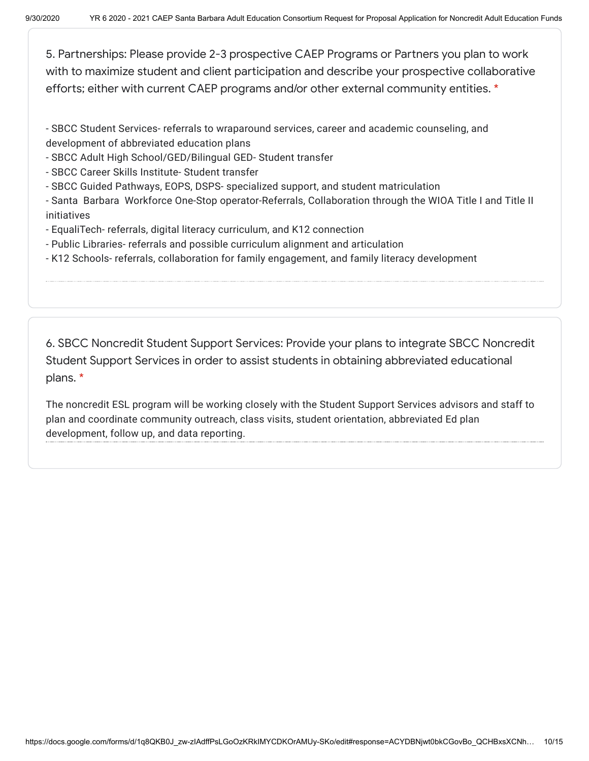5. Partnerships: Please provide 2-3 prospective CAEP Programs or Partners you plan to work with to maximize student and client participation and describe your prospective collaborative efforts; either with current CAEP programs and/or other external community entities. \*

- SBCC Student Services- referrals to wraparound services, career and academic counseling, and development of abbreviated education plans

- SBCC Adult High School/GED/Bilingual GED- Student transfer
- SBCC Career Skills Institute- Student transfer
- SBCC Guided Pathways, EOPS, DSPS- specialized support, and student matriculation

- Santa Barbara Workforce One-Stop operator-Referrals, Collaboration through the WIOA Title I and Title II initiatives

- EqualiTech- referrals, digital literacy curriculum, and K12 connection
- Public Libraries- referrals and possible curriculum alignment and articulation
- K12 Schools- referrals, collaboration for family engagement, and family literacy development

6. SBCC Noncredit Student Support Services: Provide your plans to integrate SBCC Noncredit Student Support Services in order to assist students in obtaining abbreviated educational plans. \*

The noncredit ESL program will be working closely with the Student Support Services advisors and staff to plan and coordinate community outreach, class visits, student orientation, abbreviated Ed plan development, follow up, and data reporting.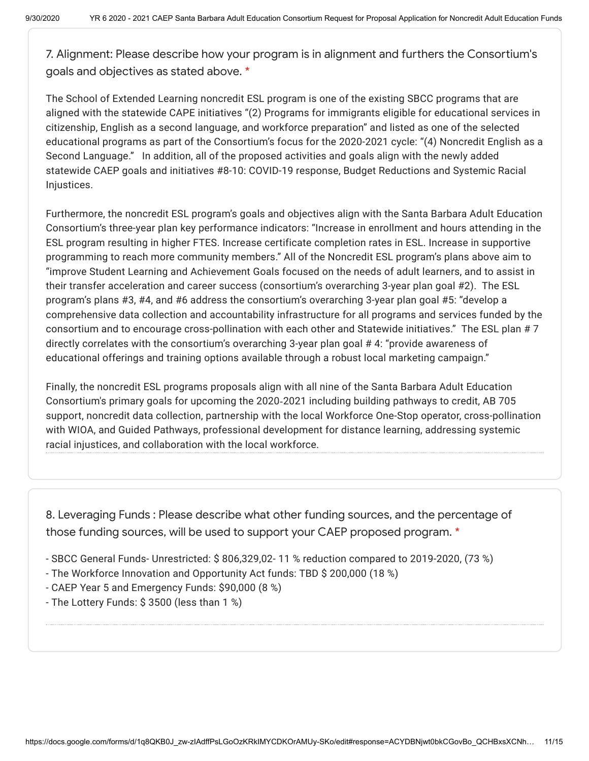7. Alignment: Please describe how your program is in alignment and furthers the Consortium's goals and objectives as stated above. \*

The School of Extended Learning noncredit ESL program is one of the existing SBCC programs that are aligned with the statewide CAPE initiatives "(2) Programs for immigrants eligible for educational services in citizenship, English as a second language, and workforce preparation" and listed as one of the selected educational programs as part of the Consortium's focus for the 2020-2021 cycle: "(4) Noncredit English as a Second Language." In addition, all of the proposed activities and goals align with the newly added statewide CAEP goals and initiatives #8-10: COVID-19 response, Budget Reductions and Systemic Racial Injustices.

Furthermore, the noncredit ESL program's goals and objectives align with the Santa Barbara Adult Education Consortium's three-year plan key performance indicators: "Increase in enrollment and hours attending in the ESL program resulting in higher FTES. Increase certificate completion rates in ESL. Increase in supportive programming to reach more community members." All of the Noncredit ESL program's plans above aim to "improve Student Learning and Achievement Goals focused on the needs of adult learners, and to assist in their transfer acceleration and career success (consortium's overarching 3-year plan goal #2). The ESL program's plans #3, #4, and #6 address the consortium's overarching 3-year plan goal #5: "develop a comprehensive data collection and accountability infrastructure for all programs and services funded by the consortium and to encourage cross-pollination with each other and Statewide initiatives." The ESL plan # 7 directly correlates with the consortium's overarching 3-year plan goal # 4: "provide awareness of educational offerings and training options available through a robust local marketing campaign."

Finally, the noncredit ESL programs proposals align with all nine of the Santa Barbara Adult Education Consortium's primary goals for upcoming the 2020‐2021 including building pathways to credit, AB 705 support, noncredit data collection, partnership with the local Workforce One-Stop operator, cross-pollination with WIOA, and Guided Pathways, professional development for distance learning, addressing systemic racial injustices, and collaboration with the local workforce.

8. Leveraging Funds : Please describe what other funding sources, and the percentage of those funding sources, will be used to support your CAEP proposed program. \*

- SBCC General Funds- Unrestricted: \$ 806,329,02- 11 % reduction compared to 2019-2020, (73 %)
- The Workforce Innovation and Opportunity Act funds: TBD \$ 200,000 (18 %)
- CAEP Year 5 and Emergency Funds: \$90,000 (8 %)
- The Lottery Funds: \$ 3500 (less than 1 %)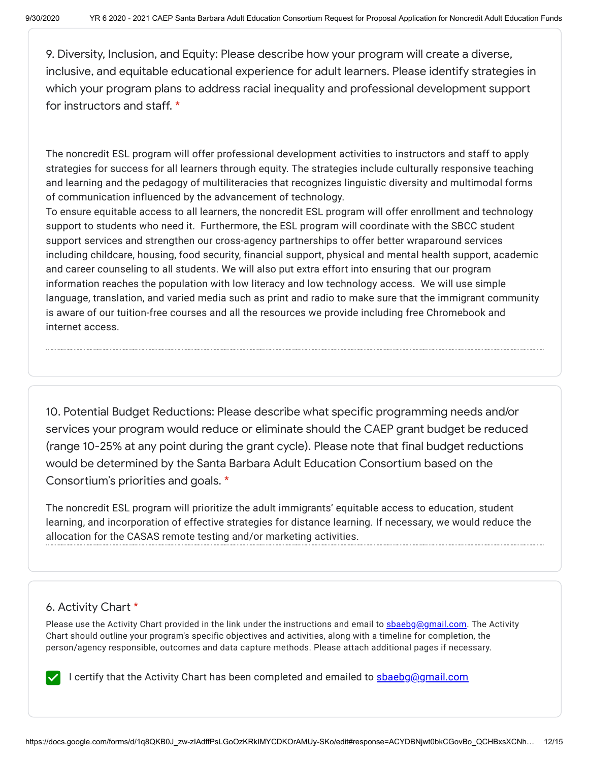9. Diversity, Inclusion, and Equity: Please describe how your program will create a diverse, inclusive, and equitable educational experience for adult learners. Please identify strategies in which your program plans to address racial inequality and professional development support for instructors and staff. \*

The noncredit ESL program will offer professional development activities to instructors and staff to apply strategies for success for all learners through equity. The strategies include culturally responsive teaching and learning and the pedagogy of multiliteracies that recognizes linguistic diversity and multimodal forms of communication influenced by the advancement of technology.

To ensure equitable access to all learners, the noncredit ESL program will offer enrollment and technology support to students who need it. Furthermore, the ESL program will coordinate with the SBCC student support services and strengthen our cross-agency partnerships to offer better wraparound services including childcare, housing, food security, financial support, physical and mental health support, academic and career counseling to all students. We will also put extra effort into ensuring that our program information reaches the population with low literacy and low technology access. We will use simple language, translation, and varied media such as print and radio to make sure that the immigrant community is aware of our tuition-free courses and all the resources we provide including free Chromebook and internet access.

10. Potential Budget Reductions: Please describe what specific programming needs and/or services your program would reduce or eliminate should the CAEP grant budget be reduced (range 10-25% at any point during the grant cycle). Please note that final budget reductions would be determined by the Santa Barbara Adult Education Consortium based on the Consortium's priorities and goals. \*

The noncredit ESL program will prioritize the adult immigrants' equitable access to education, student learning, and incorporation of effective strategies for distance learning. If necessary, we would reduce the allocation for the CASAS remote testing and/or marketing activities.

# 6. Activity Chart \*

Please use the Activity Chart provided in the link under the instructions and email to [sbaebg@gmail.com.](mailto:sbaebg@gmail.com) The Activity Chart should outline your program's specific objectives and activities, along with a timeline for completion, the person/agency responsible, outcomes and data capture methods. Please attach additional pages if necessary.

I certify that the Activity Chart has been completed and emailed to **shaebg@gmail.com**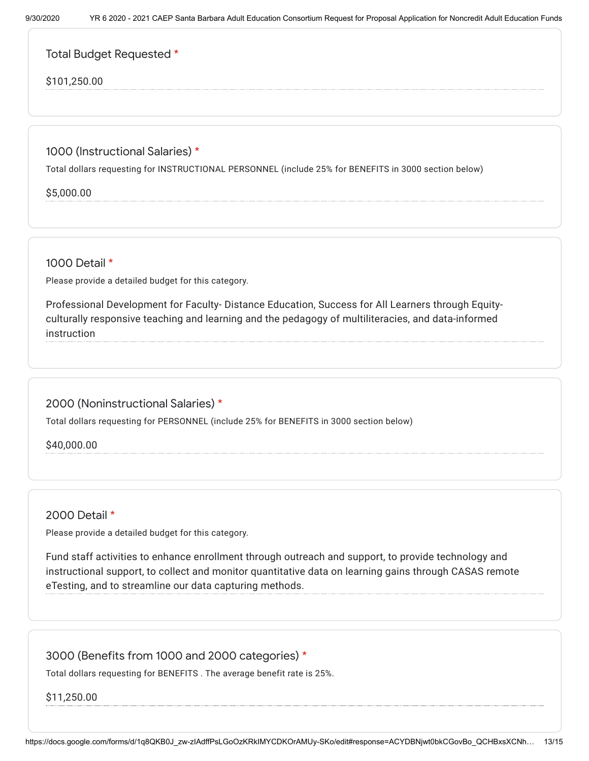Total Budget Requested \*

## \$101,250.00

1000 (Instructional Salaries) \*

Total dollars requesting for INSTRUCTIONAL PERSONNEL (include 25% for BENEFITS in 3000 section below)

\$5,000.00

1000 Detail \*

Please provide a detailed budget for this category.

Professional Development for Faculty- Distance Education, Success for All Learners through Equityculturally responsive teaching and learning and the pedagogy of multiliteracies, and data-informed instruction

2000 (Noninstructional Salaries) \*

Total dollars requesting for PERSONNEL (include 25% for BENEFITS in 3000 section below)

\$40,000.00

2000 Detail \*

Please provide a detailed budget for this category.

Fund staff activities to enhance enrollment through outreach and support, to provide technology and instructional support, to collect and monitor quantitative data on learning gains through CASAS remote eTesting, and to streamline our data capturing methods.

3000 (Benefits from 1000 and 2000 categories) \*

Total dollars requesting for BENEFITS . The average benefit rate is 25%.

\$11,250.00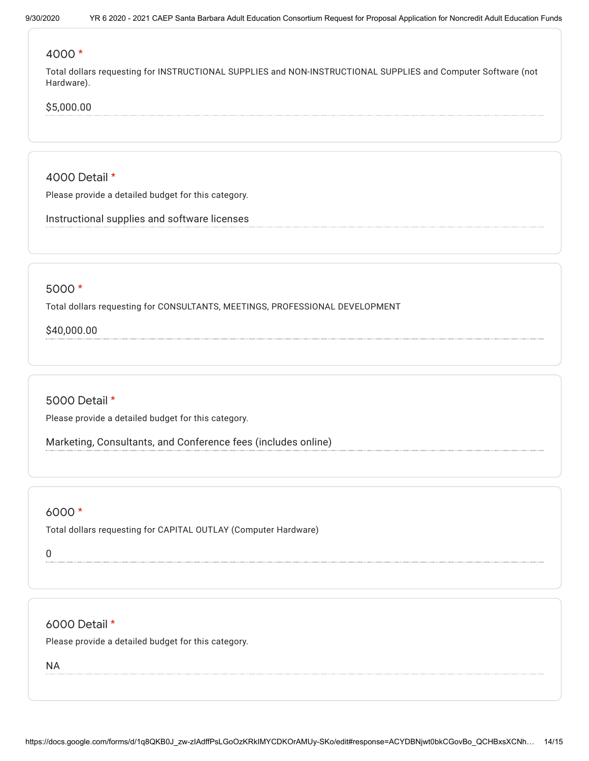#### 4000 \*

Total dollars requesting for INSTRUCTIONAL SUPPLIES and NON-INSTRUCTIONAL SUPPLIES and Computer Software (not Hardware).

### \$5,000.00

4000 Detail \*

Please provide a detailed budget for this category.

Instructional supplies and software licenses

#### 5000 \*

Total dollars requesting for CONSULTANTS, MEETINGS, PROFESSIONAL DEVELOPMENT

\$40,000.00

5000 Detail \*

Please provide a detailed budget for this category.

Marketing, Consultants, and Conference fees (includes online)

#### 6000 \*

Total dollars requesting for CAPITAL OUTLAY (Computer Hardware)

0

6000 Detail \*

Please provide a detailed budget for this category.

NA